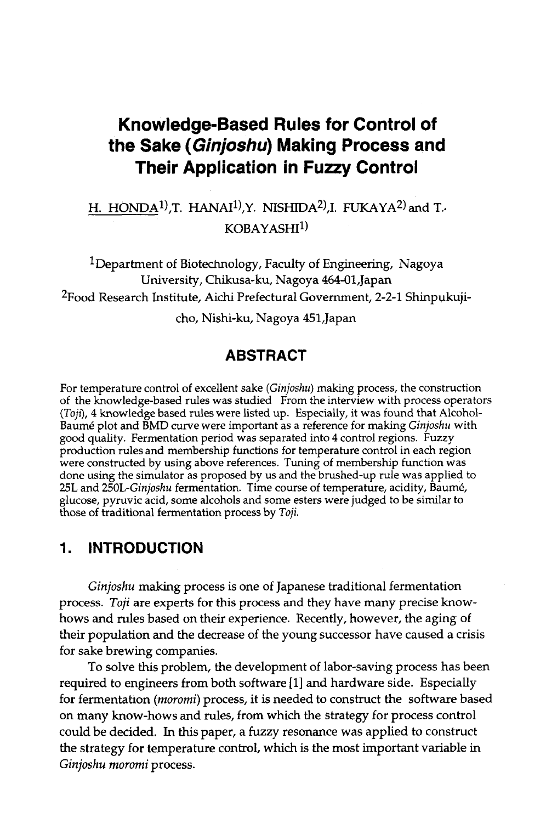# **Knowledge-Based Rules for Control of the Sake (Ginjoshu) Making Process and Their Application in Fuzzy Control**

# H. HONDA<sup>1)</sup>,T. HANAI<sup>1</sup>),Y. NISHIDA<sup>2</sup>),I. FUKAYA<sup>2)</sup> and T.  $KORAYASH1$

<sup>1</sup>Department of Biotechnology, Faculty of Engineering, Nagoya University, Chikusa-ku, Nagoya 464-01,Japan 2Food Research Institute, Aichi Prefectural Government, 2-2-1 Shinpukuji-

cho, Nishi-ku, Nagoya 451,Japan

# **ABSTRACT**

For temperature control of excellent sake *(Ginjoshu)* making process, the construction of the knowledge-based rules was studied From the interview with process operators *(Toji)*, 4 knowledge based rules were listed up. Especially, it was found that Alcohol-Baum6 plot and BMD curve were important as a reference for making *Ginjoshu* with good quality. Fermentation period was separated into 4 control regions. Fuzzy production rules and membership functions for temperature control in each region were constructed by using above references. Tuning of membership function was done using the simulator as proposed by us and the brushed-up rule was applied to 25L and *250L-Ginjoshu* fermentation. Time course of temperature, acidity, Baum6, glucose, pyruvic acid, some alcohols and some esters were judged to be similar to those of traditional fermentation process by *Toil.* 

# **1. INTRODUCTION**

*Ginjoshu* making process is one of Japanese traditional fermentation process. *Toji* are experts for this process and they have many precise knowhows and rules based on their experience. Recently, however, the aging of their population and the decrease of the young successor have caused a crisis for sake brewing companies.

To solve this problem, the development of labor-saving process has been required to engineers from both software [1] and hardware side. Especially for fermentation *(moromi)* process, it is needed to construct the software based on many know-bows and rules, from which the strategy for process control could be decided. In this paper, a fuzzy resonance was applied to construct the strategy for temperature control, which is the most important variable in *Ginjoshu mororni* process.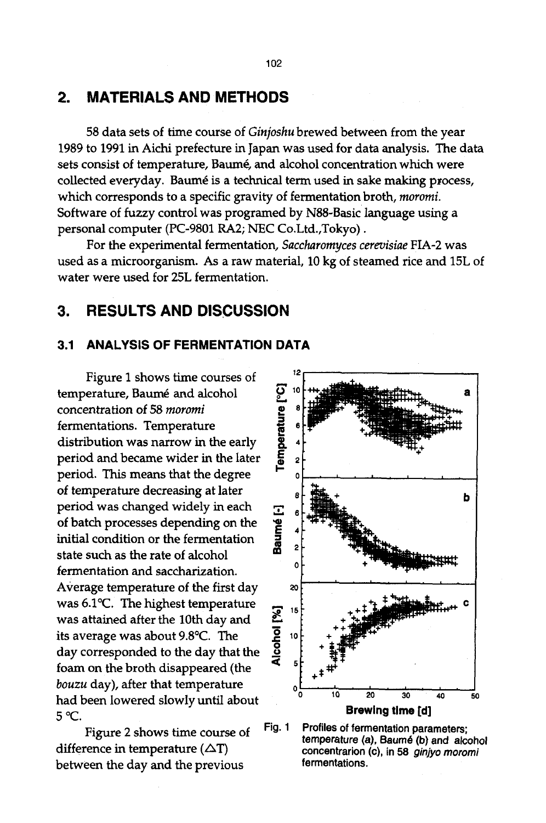# **2. MATERIALS AND METHODS**

58 data sets of time course of *Ginjoshu* brewed between from the year 1989 to 1991 in Aichi prefecture in Japan was used for data analysis. The data sets consist of temperature, Baumé, and alcohol concentration which were collected everyday. Baumé is a technical term used in sake making process, which corresponds to a specific gravity of fermentation broth, *moromi.*  Software of fuzzy control was programed by N88-Basic language using a personal computer (PC-9801 RA2; NEC Co.Ltd.,Tokyo).

For the experimental fermentation, *Saccharomyces cerevisiae* FIA-2 was used as a microorganism. As a raw material, 10 kg of steamed rice and 15L of water were used for 25L fermentation.

# **3. RESULTS AND DISCUSSION**

### **3.1 ANALYSIS OF FERMENTATION DATA**

Figure I shows time courses of temperature, Baumé and alcohol concentration of 58 *rnororni*  fermentations. Temperature distribution was narrow in the early period and became wider in the later period. This means that the degree of temperature decreasing at later period was changed widely in each of batch processes depending on the initial condition or the fermentation state such as the rate of alcohol fermentation and saccharization. Average temperature of the first day was  $6.1^{\circ}$ C. The highest temperature was attained after the 10th day and its average was about 9.8°C. The day corresponded to the day that the foam on the broth disappeared (the *bouzu* day), after that temperature had been lowered slowly until about 5 °C.

Figure 2 shows time course of difference in temperature  $(\Delta T)$ between the day and the previous



**Fig. 1 Profiles of fermentation parameters;**  temperature (a), Baumé (b) and alcohol **concentration (c), in** 58 *ginjyo moromi*  **fermentations.**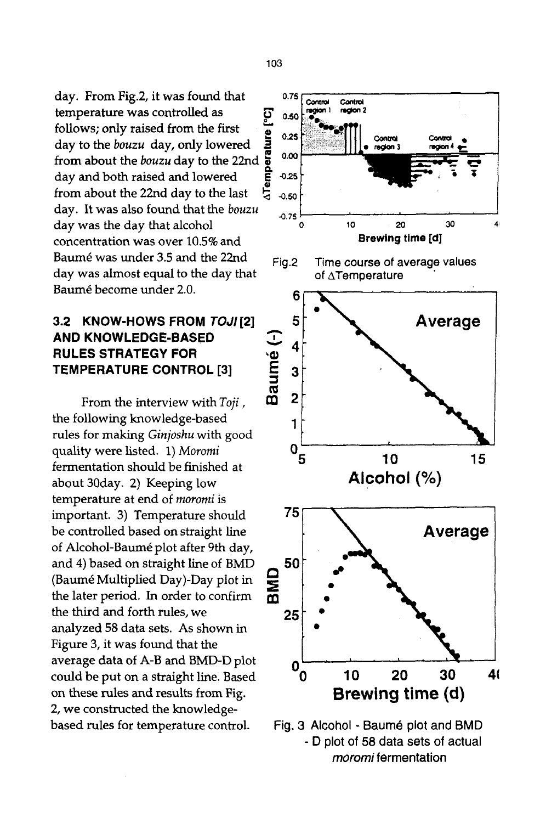day. From Fig.2, it was found that temperature was controlled as ~" <sup>o</sup> follows; only raised from the first day to the *bouzu* day, only lowered from about the *bouzu* day to the 22nd day and both raised and lowered from about the 22nd day to the last day. It was also found that the *bouzu*  day was the day that alcohol concentration was over 10.5% and Baurn6 was under 3.5 and the 22nd day was almost equal to the day that Baum6 become under 2.0.

# **3.2** *KNOW-HOWS FROM TOJI[2]*  **AND KNOWLEDGE-BASED RULES STRATEGY FOR TEMPERATURE CONTROL [3]**

From the interview with *Toji,*  the following knowledge-based rules for making *Ginjoshu* with good quality were listed. 1) *Moromi*  fermentation should be finished at about 30day. 2) Keeping low temperature at end of *rnoromi* is important. 3) Temperature should be controlled based on straight line of Alcohol-Baumé plot after 9th day, and 4) based on straight line of BMD (Baum6 Multiplied Day)-Day plot in the later period. In order to confirm the third and forth rules, we analyzed 58 data sets. As shown in Figure 3, it was found that the average data of A-B and BMD-D plot could be put on a straight line. Based on these rules and results from Fig. 2, we constructed the knowledgebased rules for temperature control.



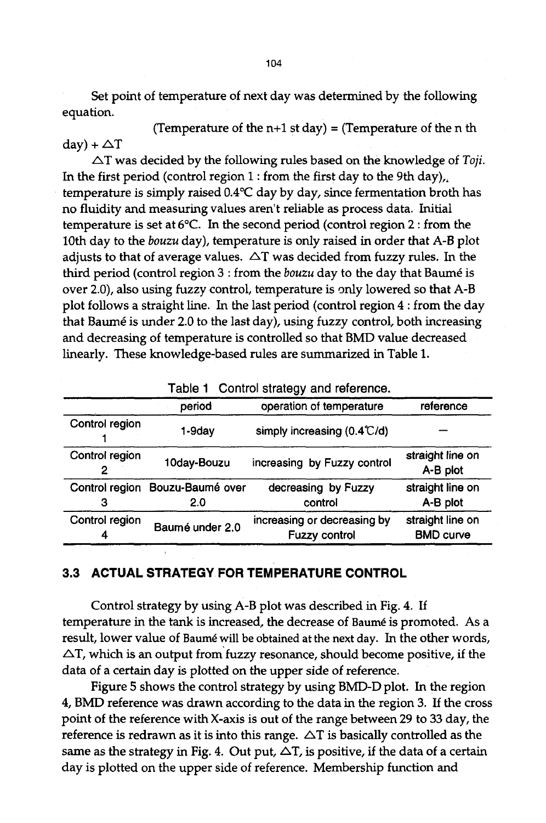Set point of temperature of next day was determined by the following equation.

(Temperature of the  $n+1$  st day) = (Temperature of the n th  $day$  +  $\triangle$ T

 $\Delta T$  was decided by the following rules based on the knowledge of *Toji*. In the first period (control region  $1$  : from the first day to the 9th day), temperature is simply raised  $0.4^{\circ}$ C day by day, since fermentation broth has no fluidity and measuring values aren't reliable as process data. initial temperature is set at  $6^{\circ}$ C. In the second period (control region 2 : from the 10th day to the *bouzu* day), temperature is only raised in order that A-B plot adjusts to that of average values.  $\Delta T$  was decided from fuzzy rules. In the third period (control region 3 : from the *bouzu* day to the day that Baumé is over 2.0), also using fuzzy control, temperature is only lowered so that A-B plot follows a straight line. In the last period (control region 4 : from the day that Baumé is under 2.0 to the last day), using fuzzy control, both increasing and decreasing of temperature is controlled so that BMD value decreased linearly. These knowledge-based rules are summarized in Table 1.

| rable r control ottatogy and reference. |                         |                                              |                                      |  |  |  |  |
|-----------------------------------------|-------------------------|----------------------------------------------|--------------------------------------|--|--|--|--|
|                                         | period                  | operation of temperature                     | reference                            |  |  |  |  |
| Control region                          | 1-9dav                  | simply increasing (0.4°C/d)                  |                                      |  |  |  |  |
| Control region                          | 10day-Bouzu             | increasing by Fuzzy control                  | straight line on<br>A-B plot         |  |  |  |  |
| Control region                          | Bouzu-Baumé over<br>2.0 | decreasing by Fuzzy<br>control               | straight line on<br>A-B plot         |  |  |  |  |
| Control region                          | Baumé under 2.0         | increasing or decreasing by<br>Fuzzy control | straight line on<br><b>BMD curve</b> |  |  |  |  |

**Table 1 Control strategy and reference.** 

### **3.3 ACTUAL STRATEGY FOR TEMPERATURE CONTROL**

Control strategy by using A-B plot was described in Fig. 4. If temperature in the tank is increased, the decrease of Baumé is promoted. As a result, lower value of Baumé will be obtained at the next day. In the other words,  $\Delta T$ , which is an output from fuzzy resonance, should become positive, if the data of a certain day is plotted on the upper side of reference.

Figure 5 shows the control strategy by using BMD-D plot. In the region 4, BMD reference was drawn according to the data in the region 3. If the cross point of the reference with X-axis is out of the range between 29 to 33 day, the reference is redrawn as it is into this range.  $\triangle T$  is basically controlled as the same as the strategy in Fig. 4. Out put,  $\Delta T$ , is positive, if the data of a certain day is plotted on the upper side of reference. Membership function and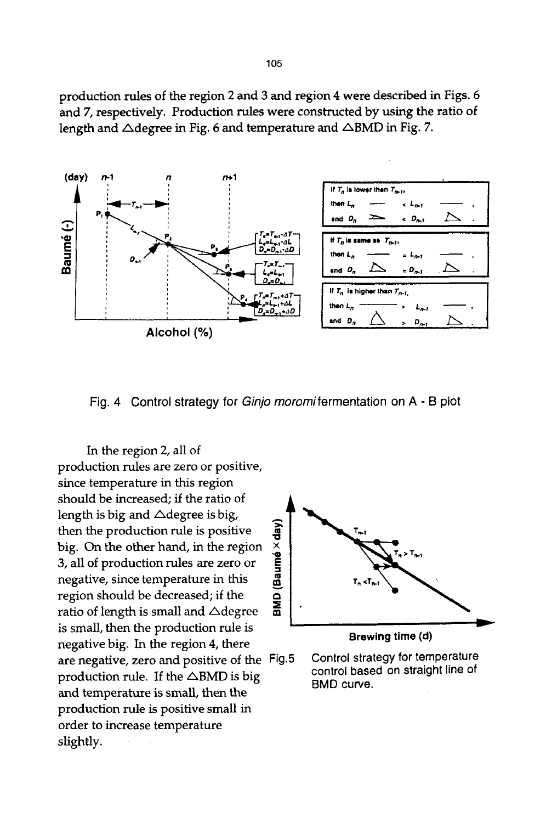production rules of the region 2 and 3 and region 4 were described in Figs. 6 and 7, respectively. Production rules were constructed by using the ratio of length and  $\triangle$ degree in Fig. 6 and temperature and  $\triangle$ BMD in Fig. 7.



Fig. 4 Control strategy for *Ginjo moromifermentation* on A - B plot

In the region 2, all of production rules are zero or positive, since temperature in this region should be increased; if the ratio of length is big and  $\triangle$ degree is big, then the production rule is positive big. On the other hand, in the region 3, all of production rules are zero or negative, since temperature in this region should be decreased; if the ratio of length is small and  $\triangle$ degree is small, then the production rule is negative big. In the region 4, there are negative, zero and positive of the Fig.5 production rule. If the  $\triangle$ BMD is big and temperature is small, then the production rule is positive small in order to increase temperature slightly.



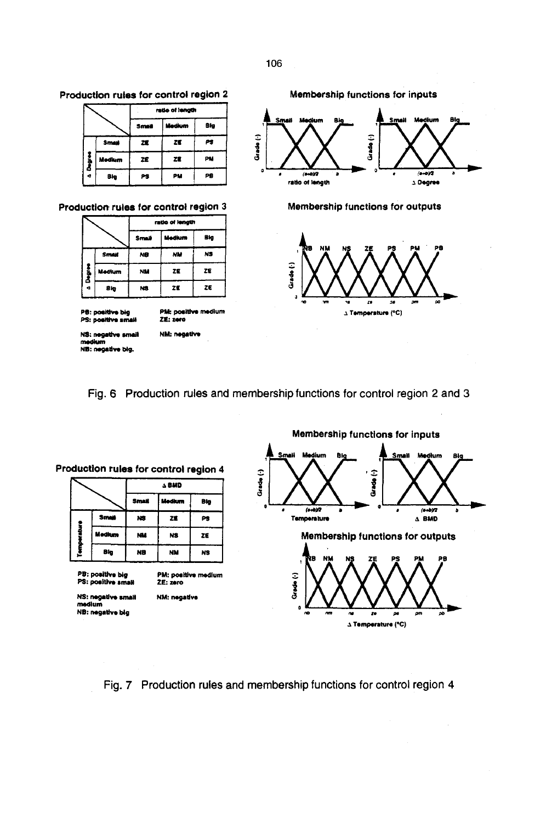

|        |              | ratio of length |        |     |  |  |
|--------|--------------|-----------------|--------|-----|--|--|
|        |              | Small           | Medium | Big |  |  |
|        | <b>Small</b> | 蠢               | ZE     | PS  |  |  |
|        | Medium       | ZĒ              | ze     | PM  |  |  |
| ā<br>۰ | Blg          | PS              | PM     | PB  |  |  |

#### **Production rules for control region**

|        |        |           | ratio of length |     |
|--------|--------|-----------|-----------------|-----|
|        |        | Small     | Medkum          | Big |
|        | Small  | NB        | NM              | N3  |
| Degree | Medium | <b>NM</b> | 22              | ZE  |
| a      | Błg    | NS.       | ŻE              | ZE  |

**PS: positive big<br>PS: positive small** 

PM: positive medium<br>ZE: zero

NM: negative

**NS: negative small** medium<br>NB: negative big.



**Membership functions for outputs** 



#### Fig. 6 Production rules and membership functions for control region 2 and 3

|        |              |                 | A BMD  |     |
|--------|--------------|-----------------|--------|-----|
|        |              | <b>Small</b>    | Medium | Blg |
|        | <b>Small</b> | <b>NS</b>       | ZE     | PS  |
| į      | Medium       | NM <sub>3</sub> | NS.    | ZE  |
| Temper | 8kg          | NB              | NM     | NS  |

PB: positive big<br>PS: positive small

PM: positive medium **ZE: zlro NM:** negatlve

**NS: negative small** medium **NB:** negative big



**Fig. 7 Production rules and membership functions for control region 4**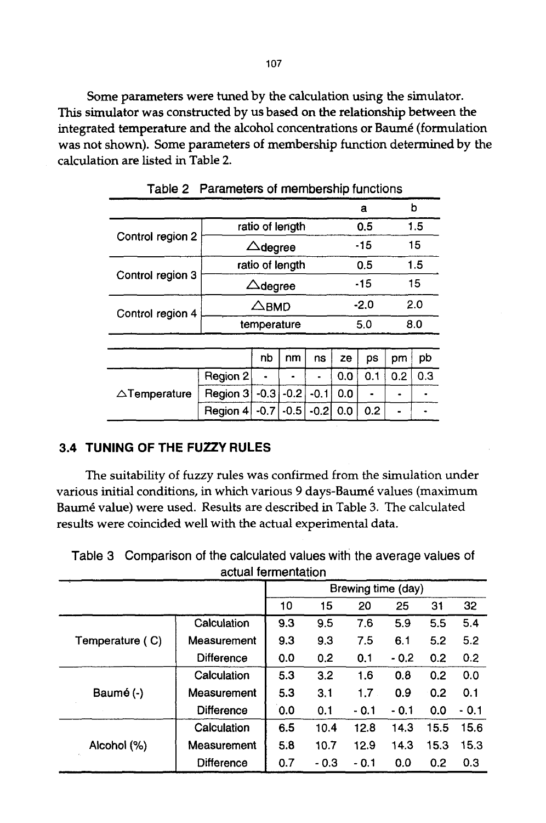Some parameters were tuned by the calculation using the simulator. This simulator was constructed by us based on the relationship between the integrated temperature and the alcohol concentrations or Baumé (formulation was not shown). Some parameters of membership function determined by the calculation are listed in Table 2.

|                                  |                    |                    |        |        |     | a      |     | b   |  |
|----------------------------------|--------------------|--------------------|--------|--------|-----|--------|-----|-----|--|
|                                  |                    | ratio of length    |        |        |     | 0.5    |     | 1.5 |  |
| Control region 2                 | $\triangle$ degree |                    |        |        |     | - 15   |     | 15  |  |
|                                  |                    | ratio of length    |        |        |     | 0.5    |     | 1.5 |  |
| Control region 3                 |                    | $\triangle$ degree |        |        |     | -15    | 15  |     |  |
| Control region 4                 | $\triangle$ BMD    |                    |        |        |     | $-2.0$ |     | 2.0 |  |
|                                  |                    | temperature        |        |        |     | 5.0    |     | 8.0 |  |
|                                  |                    |                    |        |        |     |        |     |     |  |
| nb<br>nm<br>ze<br>ps<br>ns<br>pm |                    |                    |        |        |     |        | pb  |     |  |
|                                  | Region 2           |                    |        |        | 0.0 | 0.1    | 0.2 | 0.3 |  |
| $\triangle$ Temperature          | Region 3           | $-0.3$             | $-0.2$ | $-0.1$ | 0.0 |        |     |     |  |
|                                  | Region 4           | $-0.7$             | $-0.5$ | $-0.2$ | 0.0 | 0.2    |     |     |  |

Table 2 Parameters of membership functions

## **3.4 TUNING OF THE FUZZY RULES**

The suitability of fuzzy rules was confirmed from the simulation under various initial conditions, in which various 9 days-Baum6 values (maximum Baum6 value) were used. Results are described in Table 3. The calculated results were coincided well with the actual experimental data.

| actual fermentation |                   |                            |       |        |        |      |        |  |  |
|---------------------|-------------------|----------------------------|-------|--------|--------|------|--------|--|--|
| Brewing time (day)  |                   |                            |       |        |        |      |        |  |  |
|                     |                   | 10<br>15<br>31<br>20<br>25 |       |        |        |      |        |  |  |
|                     | Calculation       | 9.3                        | 9.5   | 7.6    | 5.9    | 5.5  | 5.4    |  |  |
| Temperature (C)     | Measurement       | 9.3                        | 9.3   | 7.5    | 6.1    | 5.2  | 5.2    |  |  |
|                     | Difference        | 0.0                        | 0.2   | 0.1    | $-0.2$ | 0.2  | 0.2    |  |  |
|                     | Calculation       | 5.3                        | 3.2   | 1.6    | 0.8    | 0.2  | 0.0    |  |  |
| Baumé (-)           | Measurement       | 5.3                        | 3.1   | 1.7    | 0.9    | 0.2  | 0.1    |  |  |
|                     | <b>Difference</b> | 0.0                        | 0.1   | $-0.1$ | - 0.1  | 0.0  | $-0.1$ |  |  |
|                     | Calculation       | 6.5                        | 10.4  | 12.8   | 14.3   | 15.5 | 15.6   |  |  |
| Alcohol (%)         | Measurement       | 5.8                        | 10.7  | 12.9   | 14.3   | 15.3 | 15.3   |  |  |
|                     | <b>Difference</b> | 0.7                        | - 0.3 | - 0.1  | 0.0    | 0.2  | 0.3    |  |  |

Table 3 Comparison of the calculated values with the average values of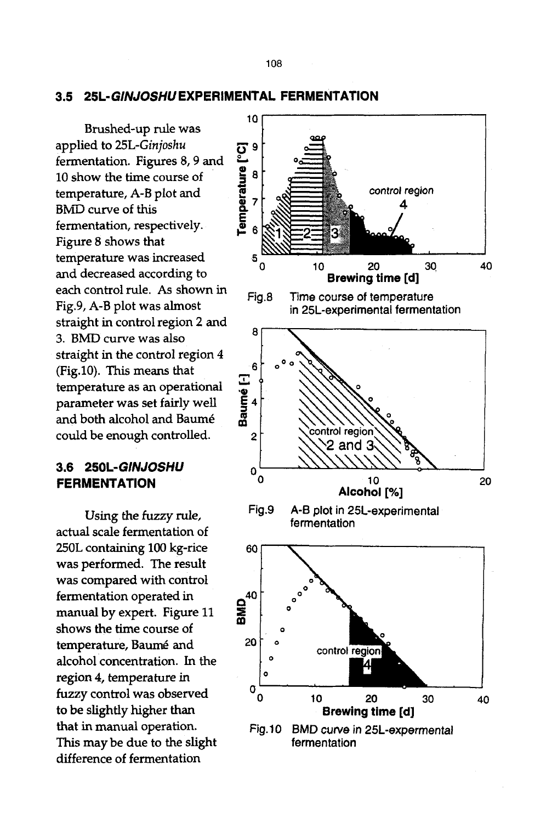#### **3.5** *25L-GINJOSHU* **EXPERIMENTAL FERMENTATION**

Brushed-up rule was applied to 25L-Ginjoshu<br>fermentation. Figures 8, 9 and<br>10 show the time course of<br>temperature, A-B plot and<br>BMD curve of this<br>fermentation. respectively. fermentation. Figures 8, 9 and  $10$  show the time course of temperature, A-B plot and BMD curve of this fermentation, respectively. Figure 8 shows that temperature was increased  $5\frac{6}{9}$ and decreased according to each control rule. As shown in Fig.8 Fig.9, A-B plot was almost straight in control region 2 and 3. BMD curve was also 8 straight in the control region 4 (Fig.10). This means that<br>temperature as an operational<br>parameter was set fairly well<br>and both alcohol and Baumé temperature as an operational parameter was set fairly well and both alcohol and Baumé could be enough controlled. 2

#### **3.6** *250L-GINJOSHU o*  **FERMENTATION 0**

Using the fuzzy rule, actual scale fermentation of 250L containing 100 kg-rice was performed. The result was compared with control fermentation operated in manual by expert. Figure 11 shows the time course of temperature, Baumé and alcohol concentration. In the region 4, temperature in fuzzy control was observed to be slightly higher than that in manual operation. This may be due to the slight difference of fermentation

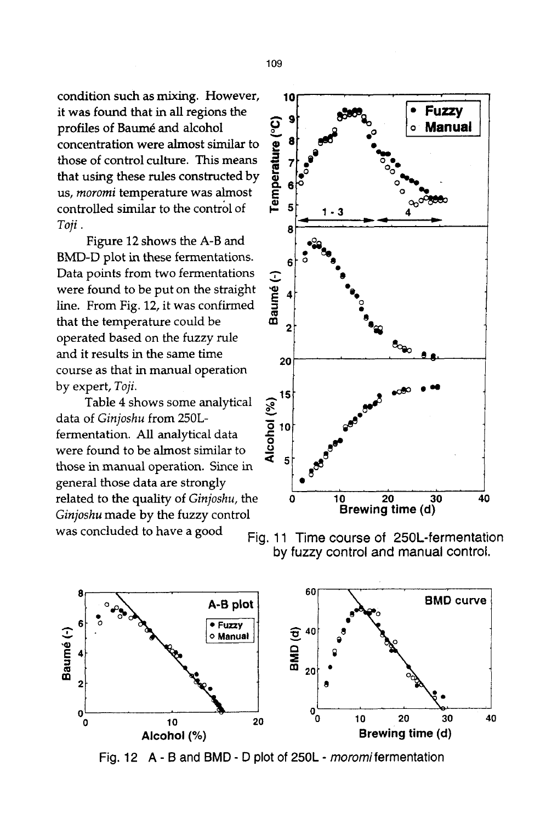condition such as mixing. However, it was found that in all regions the<br>profiles of Baumé and alcohol<br>concentration were almost similar to<br>those of control culture. This means<br>that using these rules constructed by<br>us, *moromi* temperature was almost<br>control profiles of Baumé and alcohol concentration were almost similar to those of control culture. This means that using these rules constructed by us, *moromi* temperature was almost controlled similar to the control of  $\overline{)}$  5 *Toji. 8* 

Figure 12 shows the A-B and BMD-D plot in these fermentations.  $66$ Data points from two fermentations<br>were found to be put on the straight<br>line. From Fig. 12, it was confirmed<br>that the temperature could be were found to be put on the straight line. From Fig. 12, it was confirmed that the temperature could be operated based on the fuzzy rule and it results in the same time  $\frac{1}{20}$ course as that in manual operation

data of *Ginjoshu* from 250Lthose in manual operation. Since in general those data are strongly related to the quality of *Ginjoshu, the Ginjoshu* made by the fuzzy control was concluded to have a good





Fig. 11 Time course of 250L-fermentation by fuzzy control and manual control.



Fig. 12 A - B and BMD - D plot of 250L - *moromifermentation*